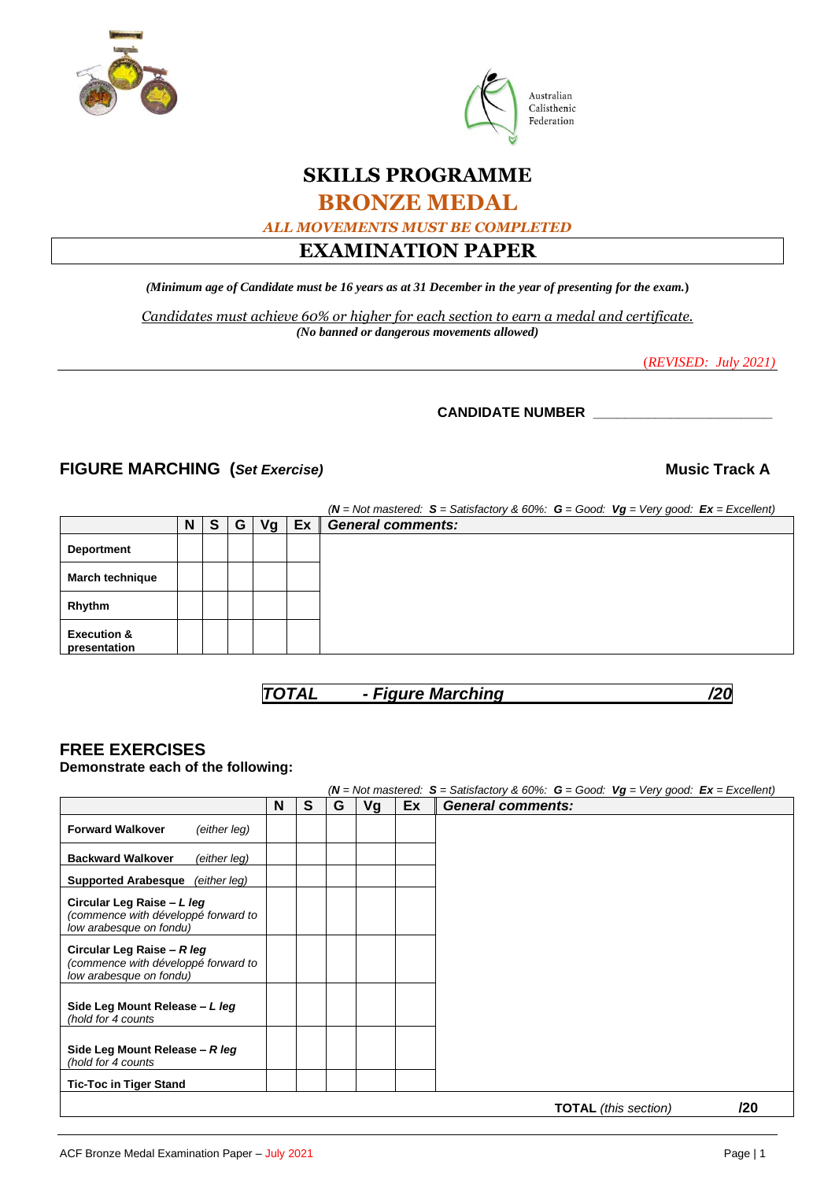



# **SKILLS PROGRAMME**

# **BRONZE MEDAL**

*ALL MOVEMENTS MUST BE COMPLETED*

# **EXAMINATION PAPER**

*(Minimum age of Candidate must be 16 years as at 31 December in the year of presenting for the exam.***)**

*Candidates must achieve 60% or higher for each section to earn a medal and certificate. (No banned or dangerous movements allowed)* 

(*REVISED: July 2021)*

## **CANDIDATE NUMBER \_\_\_\_\_\_\_\_\_\_\_\_\_\_\_\_\_\_\_\_\_\_\_**

## **FIGURE MARCHING** (*Set Exercise*) *Music Track A*

|                                        |   |   |   |    |    | $(N = Not$ mastered: $S = S$ atisfactory & 60%: $G = Good$ : $Vg = Very good$ : $Ex = Excellent$ ) |
|----------------------------------------|---|---|---|----|----|----------------------------------------------------------------------------------------------------|
|                                        | N | S | G | Vg | Ex | <b>General comments:</b>                                                                           |
| <b>Deportment</b>                      |   |   |   |    |    |                                                                                                    |
| <b>March technique</b>                 |   |   |   |    |    |                                                                                                    |
| Rhythm                                 |   |   |   |    |    |                                                                                                    |
| <b>Execution &amp;</b><br>presentation |   |   |   |    |    |                                                                                                    |

*TOTAL - Figure Marching /20*

# **FREE EXERCISES**

### **Demonstrate each of the following:**

|                                                                                              |   |   |   |    |    | $(N = Not$ mastered: $S = S$ atisfactory & 60%: $G = Good$ : $Vg = Very$ good: $Ex = Excellent$ ) |
|----------------------------------------------------------------------------------------------|---|---|---|----|----|---------------------------------------------------------------------------------------------------|
|                                                                                              | N | S | G | Vg | Ex | <b>General comments:</b>                                                                          |
| <b>Forward Walkover</b><br>(either leg)                                                      |   |   |   |    |    |                                                                                                   |
| <b>Backward Walkover</b><br>(either leg)                                                     |   |   |   |    |    |                                                                                                   |
| <b>Supported Arabesque</b><br>(either leg)                                                   |   |   |   |    |    |                                                                                                   |
| Circular Leg Raise - L leg<br>(commence with développé forward to<br>low arabesque on fondu) |   |   |   |    |    |                                                                                                   |
| Circular Leg Raise - R leg<br>(commence with développé forward to<br>low arabesque on fondu) |   |   |   |    |    |                                                                                                   |
| Side Leg Mount Release - L leg<br>(hold for 4 counts                                         |   |   |   |    |    |                                                                                                   |
| Side Leg Mount Release - R leg<br>(hold for 4 counts                                         |   |   |   |    |    |                                                                                                   |
| <b>Tic-Toc in Tiger Stand</b>                                                                |   |   |   |    |    |                                                                                                   |
|                                                                                              |   |   |   |    |    | חרו<br>$T \cap T A$ i (ilia aaailaa)                                                              |

**TOTAL** *(this section)* **/20**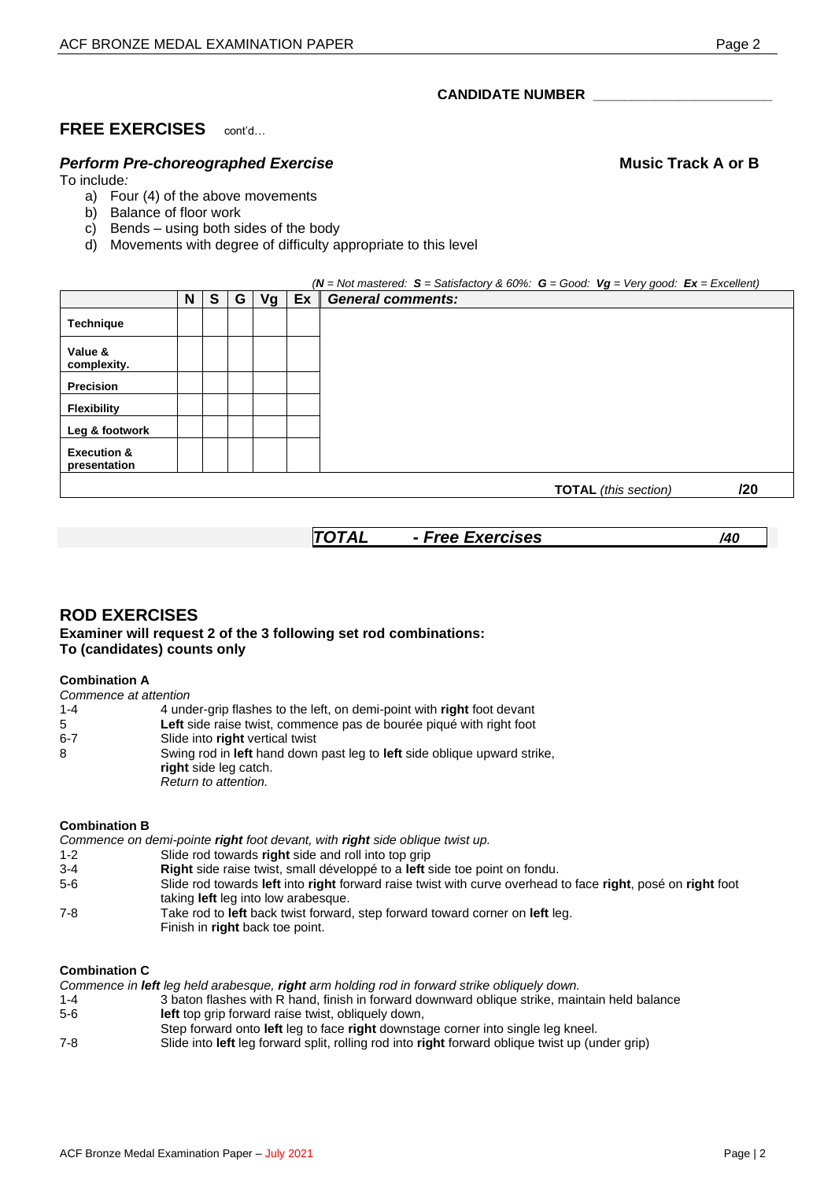## **CANDIDATE NUMBER \_\_\_\_\_\_\_\_\_\_\_\_\_\_\_\_\_\_\_\_\_\_\_**

# **FREE EXERCISES** cont'd…

# **Perform Pre-choreographed Exercise Music Track A or B Music Track A or B**

To include*:*

- a) Four (4) of the above movements
- b) Balance of floor work
- c) Bends using both sides of the body
- d) Movements with degree of difficulty appropriate to this level

|                                        |   |   |   |    |    | $(N = Not$ mastered: $S = S$ atisfactory & 60%: $G = Good$ : $Vg = Very good$ : $Ex = Excellent$ ) |
|----------------------------------------|---|---|---|----|----|----------------------------------------------------------------------------------------------------|
|                                        | N | S | G | Vg | Ex | <b>General comments:</b>                                                                           |
| <b>Technique</b>                       |   |   |   |    |    |                                                                                                    |
| Value &<br>complexity.                 |   |   |   |    |    |                                                                                                    |
| <b>Precision</b>                       |   |   |   |    |    |                                                                                                    |
| Flexibility                            |   |   |   |    |    |                                                                                                    |
| Leg & footwork                         |   |   |   |    |    |                                                                                                    |
| <b>Execution &amp;</b><br>presentation |   |   |   |    |    |                                                                                                    |
|                                        |   |   |   |    |    | /20<br><b>TOTAL</b> (this section)                                                                 |

*TOTAL - Free Exercises /40*

### **ROD EXERCISES Examiner will request 2 of the 3 following set rod combinations: To (candidates) counts only**

#### **Combination A**

| Commence at attention |                                                                                                                           |
|-----------------------|---------------------------------------------------------------------------------------------------------------------------|
| $1 - 4$               | 4 under-grip flashes to the left, on demi-point with right foot devant                                                    |
| 5                     | Left side raise twist, commence pas de bourée piqué with right foot                                                       |
| $6 - 7$               | Slide into right vertical twist                                                                                           |
| 8                     | Swing rod in left hand down past leg to left side oblique upward strike.<br>right side leg catch.<br>Return to attention. |

#### **Combination B**

*Commence on demi-pointe right foot devant, with right side oblique twist up.*

- 1-2 Slide rod towards **right** side and roll into top grip
- 3-4 **Right** side raise twist, small développé to a **left** side toe point on fondu.
- 5-6 Slide rod towards **left** into **right** forward raise twist with curve overhead to face **right**, posé on **right** foot taking **left** leg into low arabesque.
- 7-8 Take rod to **left** back twist forward, step forward toward corner on **left** leg. Finish in **right** back toe point.

## **Combination C**

*Commence in left leg held arabesque, right arm holding rod in forward strike obliquely down.*

- 1-4 3 baton flashes with R hand, finish in forward downward oblique strike, maintain held balance 5-6 **left** top grip forward raise twist, obliquely down,
- Step forward onto **left** leg to face **right** downstage corner into single leg kneel.

7-8 Slide into **left** leg forward split, rolling rod into **right** forward oblique twist up (under grip)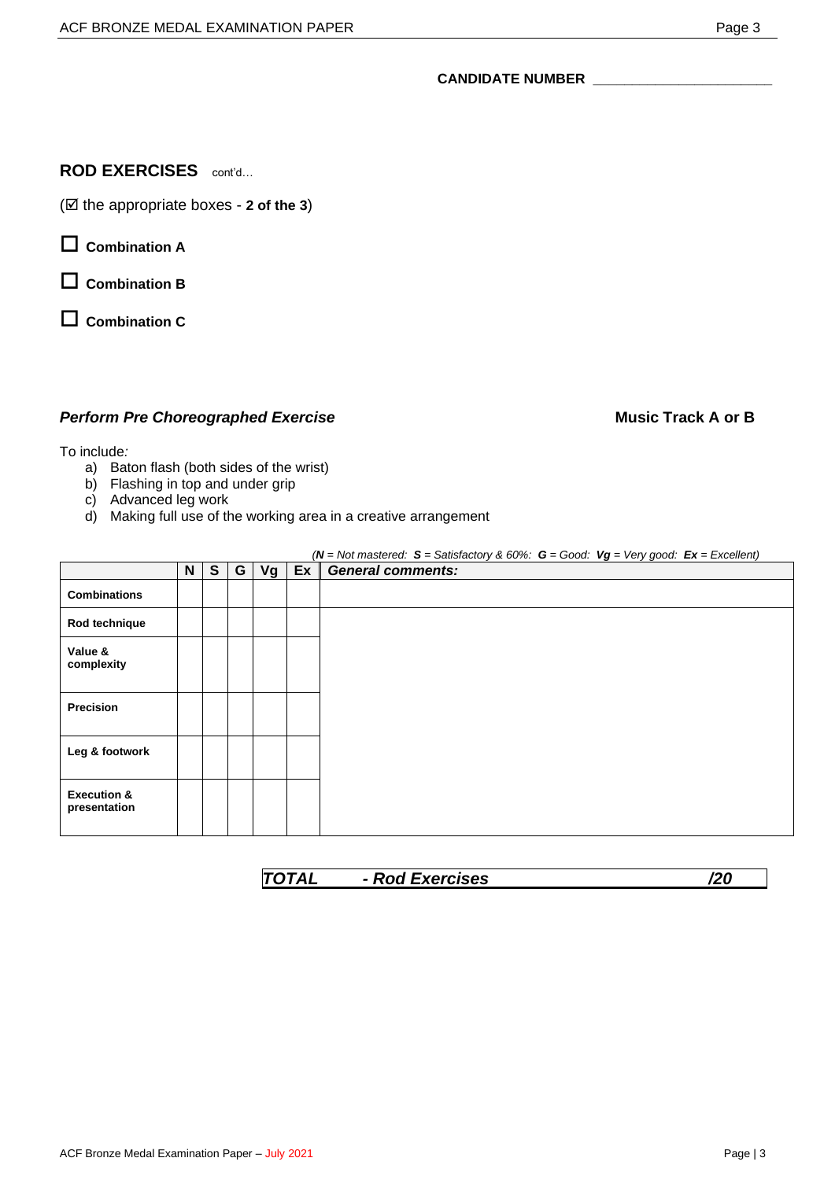#### **CANDIDATE NUMBER \_\_\_\_\_\_\_\_\_\_\_\_\_\_\_\_\_\_\_\_\_\_\_**

## **ROD EXERCISES** cont'd…

( $\boxtimes$  the appropriate boxes - 2 of the 3)

**Combination A**

**Combination B**

**Combination C**

## **Perform Pre Choreographed Exercise Music Track A or B Music Track A or B**

#### To include*:*

- a) Baton flash (both sides of the wrist)
- b) Flashing in top and under grip
- c) Advanced leg work
- d) Making full use of the working area in a creative arrangement

|                                        |   |              |   |    |    | $(N = Not\ mostered: S = Satisfactory & 60\% : G = Good: Vg = Very good: Ex = Excel lent)$ |
|----------------------------------------|---|--------------|---|----|----|--------------------------------------------------------------------------------------------|
|                                        | N | $\mathbf{s}$ | G | Vg | Ex | <b>General comments:</b>                                                                   |
| <b>Combinations</b>                    |   |              |   |    |    |                                                                                            |
| Rod technique                          |   |              |   |    |    |                                                                                            |
| Value &<br>complexity                  |   |              |   |    |    |                                                                                            |
| Precision                              |   |              |   |    |    |                                                                                            |
| Leg & footwork                         |   |              |   |    |    |                                                                                            |
| <b>Execution &amp;</b><br>presentation |   |              |   |    |    |                                                                                            |

| varricac<br>ызез |  |
|------------------|--|
|                  |  |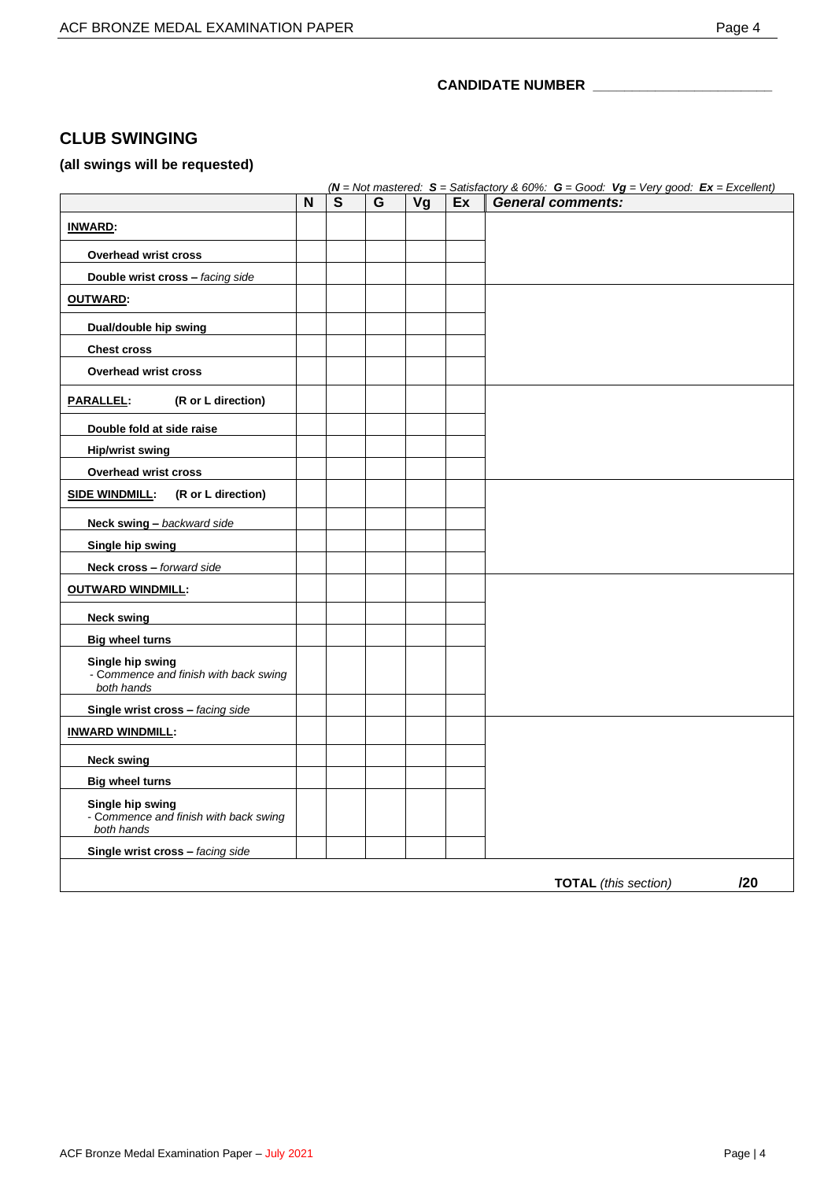## **CANDIDATE NUMBER \_\_\_\_\_\_\_\_\_\_\_\_\_\_\_\_\_\_\_\_\_\_\_**

# **CLUB SWINGING**

# **(all swings will be requested)**

|                                                                         |   |              |   |    |    | $(N = Not\ mastered: S = Satisfactory & 60\% : G = Good: Vg = Very good: Ex = Excellent)$ |
|-------------------------------------------------------------------------|---|--------------|---|----|----|-------------------------------------------------------------------------------------------|
|                                                                         | N | $\mathbf{s}$ | G | Vg | Ex | <b>General comments:</b>                                                                  |
| <b>INWARD:</b>                                                          |   |              |   |    |    |                                                                                           |
| <b>Overhead wrist cross</b>                                             |   |              |   |    |    |                                                                                           |
| Double wrist cross - facing side                                        |   |              |   |    |    |                                                                                           |
| <b>OUTWARD:</b>                                                         |   |              |   |    |    |                                                                                           |
| Dual/double hip swing                                                   |   |              |   |    |    |                                                                                           |
| <b>Chest cross</b>                                                      |   |              |   |    |    |                                                                                           |
| <b>Overhead wrist cross</b>                                             |   |              |   |    |    |                                                                                           |
| (R or L direction)<br><u> PARALLEL:</u>                                 |   |              |   |    |    |                                                                                           |
| Double fold at side raise                                               |   |              |   |    |    |                                                                                           |
| <b>Hip/wrist swing</b>                                                  |   |              |   |    |    |                                                                                           |
| Overhead wrist cross                                                    |   |              |   |    |    |                                                                                           |
| <u>SIDE WINDMILL:</u><br>(R or L direction)                             |   |              |   |    |    |                                                                                           |
| Neck swing - backward side                                              |   |              |   |    |    |                                                                                           |
| Single hip swing                                                        |   |              |   |    |    |                                                                                           |
| <b>Neck cross - forward side</b>                                        |   |              |   |    |    |                                                                                           |
| <b>OUTWARD WINDMILL:</b>                                                |   |              |   |    |    |                                                                                           |
| <b>Neck swing</b>                                                       |   |              |   |    |    |                                                                                           |
| <b>Big wheel turns</b>                                                  |   |              |   |    |    |                                                                                           |
| Single hip swing<br>- Commence and finish with back swing<br>both hands |   |              |   |    |    |                                                                                           |
| Single wrist cross - facing side                                        |   |              |   |    |    |                                                                                           |
| <b>INWARD WINDMILL:</b>                                                 |   |              |   |    |    |                                                                                           |
| <b>Neck swing</b>                                                       |   |              |   |    |    |                                                                                           |
| <b>Big wheel turns</b>                                                  |   |              |   |    |    |                                                                                           |
| Single hip swing<br>- Commence and finish with back swing<br>both hands |   |              |   |    |    |                                                                                           |
| Single wrist cross - facing side                                        |   |              |   |    |    |                                                                                           |
|                                                                         |   |              |   |    |    | 120<br><b>TOTAL</b> (this section)                                                        |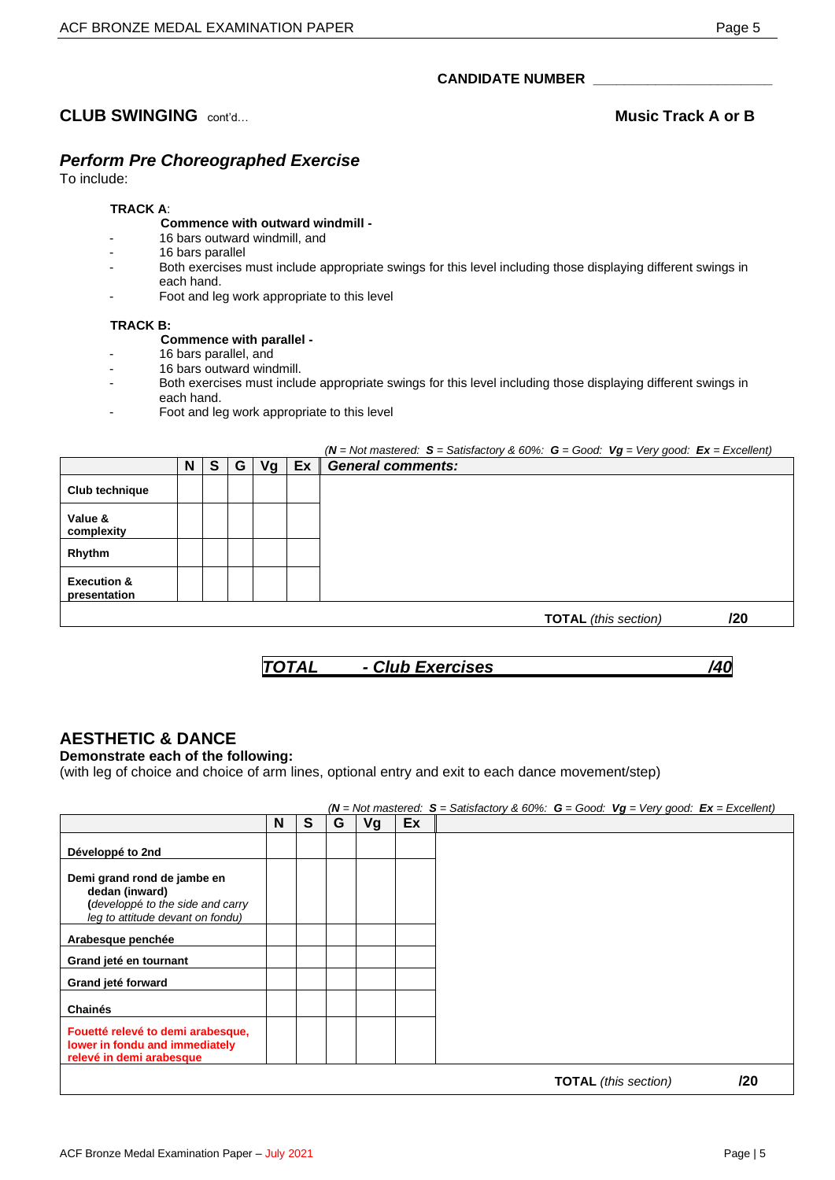# **CLUB SWINGING**  $\text{cont}_{d}$  **CLUB Music Track A or B**

# *Perform Pre Choreographed Exercise*

To include:

## **TRACK A**:

#### **Commence with outward windmill -**

- 16 bars outward windmill, and
- 16 bars parallel
- Both exercises must include appropriate swings for this level including those displaying different swings in each hand.
- Foot and leg work appropriate to this level

#### **TRACK B:**

- **Commence with parallel -**
- 16 bars parallel, and
- 16 bars outward windmill.
- Both exercises must include appropriate swings for this level including those displaying different swings in each hand.
- Foot and leg work appropriate to this level

|                                        |   |          |   |    |     | $(N = Not\ mostered: S = Satisfactory & 60\% : G = Good: Vg = Very good: Ex = Excellent)$ |
|----------------------------------------|---|----------|---|----|-----|-------------------------------------------------------------------------------------------|
|                                        | N | <b>S</b> | G | Vg | Ex. | <b>General comments:</b>                                                                  |
| Club technique                         |   |          |   |    |     |                                                                                           |
| Value &<br>complexity                  |   |          |   |    |     |                                                                                           |
| Rhythm                                 |   |          |   |    |     |                                                                                           |
| <b>Execution &amp;</b><br>presentation |   |          |   |    |     |                                                                                           |
|                                        |   |          |   |    |     | /20<br><b>TOTAL</b> (this section)                                                        |



# **AESTHETIC & DANCE**

**Demonstrate each of the following:**

(with leg of choice and choice of arm lines, optional entry and exit to each dance movement/step)

### *(N = Not mastered: S = Satisfactory & 60%: G = Good: Vg = Very good: Ex = Excellent)*

|                                                                                                                       | N | S | G | Vg | Ex |
|-----------------------------------------------------------------------------------------------------------------------|---|---|---|----|----|
| Développé to 2nd                                                                                                      |   |   |   |    |    |
| Demi grand rond de jambe en<br>dedan (inward)<br>(developpé to the side and carry<br>leg to attitude devant on fondu) |   |   |   |    |    |
| Arabesque penchée                                                                                                     |   |   |   |    |    |
| Grand jeté en tournant                                                                                                |   |   |   |    |    |
| Grand jeté forward                                                                                                    |   |   |   |    |    |
| <b>Chainés</b>                                                                                                        |   |   |   |    |    |
| Fouetté relevé to demi arabesque,<br>lower in fondu and immediately<br>relevé in demi arabesque                       |   |   |   |    |    |
|                                                                                                                       |   |   |   |    |    |